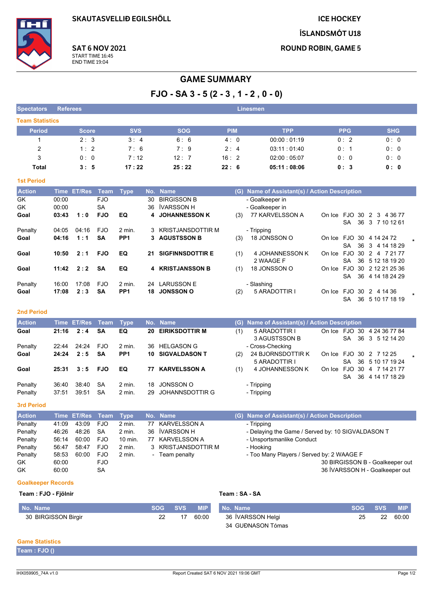**SKAUTASVELLIÐ EGILSHÖLL** 

**ICE HOCKEY** 

**ÍSLANDSMÓT U18** 

**ROUND ROBIN, GAME 5** 

**SAT 6 NOV 2021** 



## START TIME 16:45 **END TIME 19:04**

# **GAME SUMMARY**

 $FJO - SA 3 - 5 (2 - 3, 1 - 2, 0 - 0)$ 

| <b>Spectators</b>      | <b>Referees</b> |            |            | <b>Linesmen</b> |             |            |            |
|------------------------|-----------------|------------|------------|-----------------|-------------|------------|------------|
| <b>Team Statistics</b> |                 |            |            |                 |             |            |            |
| <b>Period</b>          | <b>Score</b>    | <b>SVS</b> | <b>SOG</b> | <b>PIM</b>      | <b>TPP</b>  | <b>PPG</b> | <b>SHG</b> |
|                        | 2:3             | 3:4        | 6:6        | 4:0             | 00.00:01.19 | 0:2        | 0:0        |
| 2                      | 1:2             | 7:6        | 7:9        | 2:4             | 03:11:01:40 | 0:1        | 0:0        |
| 3                      | 0:0             | 7:12       | 12:7       | 16:2            | 02:00:05:07 | 0:0        | 0:0        |
| Total                  | 3:5             | 17:22      | 25:22      | 22:6            | 05:11:08:06 | 0:3        | 0: 0       |

### **1st Period**

| <b>Action</b> |       | Time ET/Res | Team       | Type            |    | No. Name                | (G) | Name of Assistant(s) / Action Description |        |                 |                      |         |
|---------------|-------|-------------|------------|-----------------|----|-------------------------|-----|-------------------------------------------|--------|-----------------|----------------------|---------|
| GK            | 00:00 |             | <b>FJO</b> |                 | 30 | <b>BIRGISSON B</b>      |     | - Goalkeeper in                           |        |                 |                      |         |
| GK            | 00:00 |             | SA         |                 | 36 | ÍVARSSON H              |     | - Goalkeeper in                           |        |                 |                      |         |
| Goal          | 03:43 | 1:0         | <b>FJO</b> | EQ              |    | 4 JOHANNESSON K         | (3) | 77 KARVELSSON A                           | On Ice |                 | FJO 30 2 3 4 36 77   |         |
|               |       |             |            |                 |    |                         |     |                                           |        | SA.             | 36 3 7 10 12 61      |         |
| Penalty       | 04:05 | 04:16       | <b>FJO</b> | $2$ min.        | 3  | KRISTJANSDOTTIR M       |     | - Tripping                                |        |                 |                      |         |
| Goal          | 04:16 | 1:1         | SΑ         | PP <sub>1</sub> |    | 3 AGUSTSSON B           | (3) | 18 JONSSON O                              | On Ice |                 | FJO 30 4 14 24 72    |         |
|               |       |             |            |                 |    |                         |     |                                           |        | SA.             | 36 3 4 14 18 29      |         |
| Goal          | 10:50 | 2:1         | <b>FJO</b> | EQ              | 21 | <b>SIGFINNSDOTTIR E</b> | (1) | 4 JOHANNESSON K                           | On Ice |                 | FJO 30 2 4 7 21 77   |         |
|               |       |             |            |                 |    |                         |     | 2 WAAGE F                                 |        | 36<br><b>SA</b> | 5 12 18 19 20        |         |
| Goal          | 11:42 | 2:2         | <b>SA</b>  | EQ              |    | 4 KRISTJANSSON B        | (1) | 18 JONSSON O                              | On Ice |                 | FJO 30 2 12 21 25 36 |         |
|               |       |             |            |                 |    |                         |     |                                           |        | 36<br>SA.       | 4 14 18 24 29        |         |
| Penalty       | 16:00 | 17:08       | <b>FJO</b> | $2$ min.        | 24 | LARUSSON E              |     | - Slashing                                |        |                 |                      |         |
| Goal          | 17:08 | 2:3         | <b>SA</b>  | PP <sub>1</sub> | 18 | <b>JONSSON O</b>        | (2) | 5 ARADOTTIR I                             | On Ice | 30<br>FJO       | 2 4 14 36            | $\star$ |
|               |       |             |            |                 |    |                         |     |                                           |        | SA.             | 36 5 10 17 18 19     |         |

#### 2nd Period

| <b>Action</b> |       | Time ET/Res Team |            | Type              |     | No. Name                |     | (G) Name of Assistant(s) / Action Description |     |                             |  |
|---------------|-------|------------------|------------|-------------------|-----|-------------------------|-----|-----------------------------------------------|-----|-----------------------------|--|
| Goal          | 21:16 | 2:4              | <b>SA</b>  | EQ                | 20  | <b>EIRIKSDOTTIR M</b>   | (1) | 5 ARADOTTIR I                                 |     | On Ice FJO 30 4 24 36 77 84 |  |
|               |       |                  |            |                   |     |                         |     | 3 AGUSTSSON B                                 |     | SA 36 3 5 12 14 20          |  |
| Penalty       | 22:44 | 24:24            | FJO        | $2 \text{ min}$ . | 36. | <b>HELGASON G</b>       |     | - Cross-Checking                              |     |                             |  |
| Goal          | 24:24 | 2:5              | <b>SA</b>  | PP <sub>1</sub>   |     | <b>10 SIGVALDASON T</b> | (2) | 24 BJORNSDOTTIR K                             |     | On Ice FJO 30 2 7 12 25     |  |
|               |       |                  |            |                   |     |                         |     | 5 ARADOTTIR I                                 | SA. | 36 5 10 17 19 24            |  |
| Goal          | 25:31 | 3:5              | <b>FJO</b> | EQ                | 77. | <b>KARVELSSON A</b>     | (1) | 4 JOHANNESSON K                               |     | On Ice FJO 30 4 7 14 21 77  |  |
|               |       |                  |            |                   |     |                         |     |                                               | SA. | 36 4 14 17 18 29            |  |
| Penalty       | 36.40 | 38.40            | <b>SA</b>  | $2$ min.          |     | 18 JONSSON O            |     | - Tripping                                    |     |                             |  |
| Penalty       | 37:51 | 39.51            | <b>SA</b>  | $2$ min.          |     | 29 JOHANNSDOTTIR G      |     | - Tripping                                    |     |                             |  |

3rd Period

| <b>Action</b> |       | Time ET/Res Team Type |            |                   |    | No. Name             | (G) Name of Assistant(s) / Action Description     |
|---------------|-------|-----------------------|------------|-------------------|----|----------------------|---------------------------------------------------|
| Penalty       | 41:09 | 43.09                 | <b>FJO</b> | $2 \text{ min}$ . |    | 77 KARVELSSON A      | - Tripping                                        |
| Penalty       | 46:26 | 48.26                 | SA         | $2$ min.          |    | 36 <b>IVARSSON H</b> | - Delaying the Game / Served by: 10 SIGVALDASON T |
| Penalty       | 56:14 | 60:00                 | <b>FJO</b> | 10 min.           | 77 | KARVELSSON A         | - Unsportsmanlike Conduct                         |
| Penalty       | 56:47 | 58:47                 | <b>FJO</b> | 2 min.            |    | 3 KRISTJANSDOTTIR M  | - Hooking                                         |
| Penalty       | 58:53 | 60:00                 | <b>FJO</b> | $2 \text{ min}$ . |    | Team penalty         | - Too Many Players / Served by: 2 WAAGE F         |
| <b>GK</b>     | 60:00 |                       | FJO        |                   |    |                      | 30 BIRGISSON B - Goalkeeper out                   |
| GK            | 60:00 |                       | SA         |                   |    |                      | 36 ÍVARSSON H - Goalkeeper out                    |

#### **Goalkeeper Records**

| Team: FJO - Fjölnir |
|---------------------|
|---------------------|

## Team: SA - SA

| No. Name            | SOG SVS |    |                            | <b>MIP</b> No. Name | SOG SVS |    | <b>MIP</b> |
|---------------------|---------|----|----------------------------|---------------------|---------|----|------------|
| 30 BIRGISSON Birgir |         | 17 | 36 ÍVARSSON Helgi<br>60:00 |                     | 25      | 22 | 60:00      |
|                     |         |    |                            | 34 GUÐNASON Tómas   |         |    |            |

## **Game Statistics**

| Team: FJO ( |  |  |
|-------------|--|--|